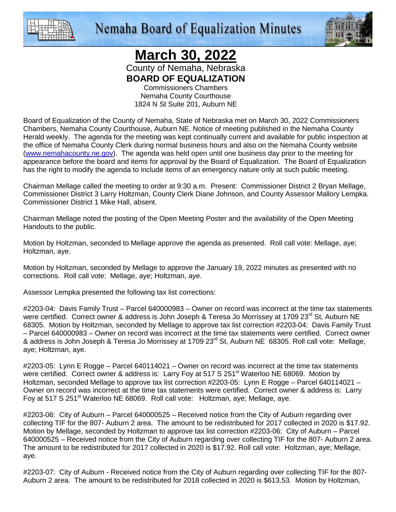



## **March 30, 2022**

County of Nemaha, Nebraska **BOARD OF EQUALIZATION** 

Commissioners Chambers Nemaha County Courthouse 1824 N St Suite 201, Auburn NE

Board of Equalization of the County of Nemaha, State of Nebraska met on March 30, 2022 Commissioners Chambers, Nemaha County Courthouse, Auburn NE. Notice of meeting published in the Nemaha County Herald weekly. The agenda for the meeting was kept continually current and available for public inspection at the office of Nemaha County Clerk during normal business hours and also on the Nemaha County website (www.nemahacounty.ne.gov). The agenda was held open until one business day prior to the meeting for appearance before the board and items for approval by the Board of Equalization. The Board of Equalization has the right to modify the agenda to include items of an emergency nature only at such public meeting.

Chairman Mellage called the meeting to order at 9:30 a.m. Present: Commissioner District 2 Bryan Mellage, Commissioner District 3 Larry Holtzman, County Clerk Diane Johnson, and County Assessor Mallory Lempka. Commissioner District 1 Mike Hall, absent.

Chairman Mellage noted the posting of the Open Meeting Poster and the availability of the Open Meeting Handouts to the public.

Motion by Holtzman, seconded to Mellage approve the agenda as presented. Roll call vote: Mellage, aye; Holtzman, aye.

Motion by Holtzman, seconded by Mellage to approve the January 19, 2022 minutes as presented with no corrections. Roll call vote: Mellage, aye; Holtzman, aye.

Assessor Lempka presented the following tax list corrections:

#2203-04: Davis Family Trust – Parcel 640000983 – Owner on record was incorrect at the time tax statements were certified. Correct owner & address is John Joseph & Teresa Jo Morrissey at 1709 23<sup>rd</sup> St, Auburn NE 68305. Motion by Holtzman, seconded by Mellage to approve tax list correction #2203-04: Davis Family Trust – Parcel 640000983 – Owner on record was incorrect at the time tax statements were certified. Correct owner & address is John Joseph & Teresa Jo Morrissey at 1709 23<sup>rd</sup> St, Auburn NE 68305. Roll call vote: Mellage, aye; Holtzman, aye.

#2203-05: Lynn E Rogge – Parcel 640114021 – Owner on record was incorrect at the time tax statements were certified. Correct owner & address is: Larry Foy at 517 S 251<sup>st</sup> Waterloo NE 68069. Motion by Holtzman, seconded Mellage to approve tax list correction #2203-05: Lynn E Rogge – Parcel 640114021 – Owner on record was incorrect at the time tax statements were certified. Correct owner & address is: Larry Foy at 517 S 251<sup>st</sup> Waterloo NE 68069. Roll call vote: Holtzman, aye; Mellage, aye.

#2203-06: City of Auburn – Parcel 640000525 – Received notice from the City of Auburn regarding over collecting TIF for the 807- Auburn 2 area. The amount to be redistributed for 2017 collected in 2020 is \$17.92. Motion by Mellage, seconded by Holtzman to approve tax list correction #2203-06: City of Auburn – Parcel 640000525 – Received notice from the City of Auburn regarding over collecting TIF for the 807- Auburn 2 area. The amount to be redistributed for 2017 collected in 2020 is \$17.92. Roll call vote: Holtzman, aye; Mellage, aye.

#2203-07: City of Auburn - Received notice from the City of Auburn regarding over collecting TIF for the 807- Auburn 2 area. The amount to be redistributed for 2018 collected in 2020 is \$613.53. Motion by Holtzman,